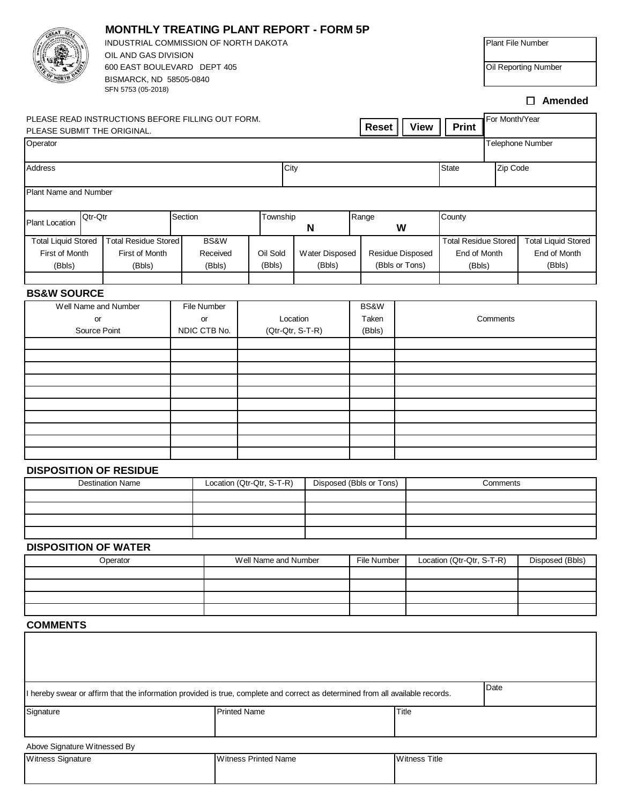|                                                                                                                                |                                  | <b>MONTHLY TREATING PLANT REPORT - FORM 5P</b>                               |                    |              |                                                      |                             |               |                |  |                                          |             |                             |                  |              |                 |                            |              |                |  |
|--------------------------------------------------------------------------------------------------------------------------------|----------------------------------|------------------------------------------------------------------------------|--------------------|--------------|------------------------------------------------------|-----------------------------|---------------|----------------|--|------------------------------------------|-------------|-----------------------------|------------------|--------------|-----------------|----------------------------|--------------|----------------|--|
|                                                                                                                                |                                  | INDUSTRIAL COMMISSION OF NORTH DAKOTA<br>OIL AND GAS DIVISION                |                    |              |                                                      |                             |               |                |  |                                          |             |                             |                  |              |                 | Plant File Number          |              |                |  |
|                                                                                                                                |                                  | 600 EAST BOULEVARD DEPT 405<br>BISMARCK, ND 58505-0840<br>SFN 5753 (05-2018) |                    |              |                                                      |                             |               |                |  |                                          |             |                             |                  |              |                 | Oil Reporting Number       |              |                |  |
|                                                                                                                                |                                  |                                                                              |                    |              |                                                      |                             |               |                |  |                                          |             |                             |                  |              |                 |                            |              | $\Box$ Amended |  |
| PLEASE SUBMIT THE ORIGINAL.                                                                                                    |                                  | PLEASE READ INSTRUCTIONS BEFORE FILLING OUT FORM.                            |                    | <b>Reset</b> |                                                      |                             |               |                |  |                                          | <b>View</b> |                             | <b>Print</b>     |              | For Month/Year  |                            |              |                |  |
| Operator                                                                                                                       |                                  |                                                                              |                    |              |                                                      |                             |               |                |  |                                          |             |                             | Telephone Number |              |                 |                            |              |                |  |
| Address                                                                                                                        |                                  |                                                                              |                    |              | City                                                 |                             |               |                |  |                                          |             |                             |                  | <b>State</b> |                 | Zip Code                   |              |                |  |
| Plant Name and Number                                                                                                          |                                  |                                                                              |                    |              |                                                      |                             |               |                |  |                                          |             |                             |                  |              |                 |                            |              |                |  |
| <b>Plant Location</b>                                                                                                          | Qtr-Qtr                          |                                                                              |                    | Section      |                                                      |                             | Township<br>N |                |  | Range<br>W                               |             |                             |                  | County       |                 |                            |              |                |  |
| <b>Total Residue Stored</b><br><b>Total Liquid Stored</b>                                                                      |                                  | BS&W                                                                         |                    |              |                                                      |                             |               |                |  |                                          |             | <b>Total Residue Stored</b> |                  |              |                 | <b>Total Liquid Stored</b> |              |                |  |
|                                                                                                                                | First of Month<br>First of Month |                                                                              |                    |              | Received                                             | Oil Sold                    |               | Water Disposed |  | Residue Disposed                         |             | End of Month                |                  |              |                 |                            | End of Month |                |  |
|                                                                                                                                | (Bbls)<br>(Bbls)                 |                                                                              |                    |              | (Bbls)                                               | (Bbls)                      | (Bbls)        | (Bbls or Tons) |  |                                          |             |                             | (Bbls)           |              |                 | (Bbls)                     |              |                |  |
| <b>BS&amp;W SOURCE</b>                                                                                                         |                                  |                                                                              |                    |              |                                                      |                             |               |                |  |                                          |             |                             |                  |              |                 |                            |              |                |  |
|                                                                                                                                |                                  | Well Name and Number                                                         |                    | File Number  |                                                      |                             |               |                |  | BS&W                                     |             |                             |                  |              |                 |                            |              |                |  |
| or<br>Source Point                                                                                                             |                                  |                                                                              | or<br>NDIC CTB No. |              |                                                      | (Qtr-Qtr, S-T-R)            | Location      |                |  | Taken<br>(Bbls)                          |             |                             |                  |              |                 | Comments                   |              |                |  |
|                                                                                                                                |                                  |                                                                              |                    |              |                                                      |                             |               |                |  |                                          |             |                             |                  |              |                 |                            |              |                |  |
|                                                                                                                                |                                  |                                                                              |                    |              |                                                      |                             |               |                |  |                                          |             |                             |                  |              |                 |                            |              |                |  |
|                                                                                                                                |                                  |                                                                              |                    |              |                                                      |                             |               |                |  |                                          |             |                             |                  |              |                 |                            |              |                |  |
|                                                                                                                                |                                  |                                                                              |                    |              |                                                      |                             |               |                |  |                                          |             |                             |                  |              |                 |                            |              |                |  |
|                                                                                                                                |                                  |                                                                              |                    |              |                                                      |                             |               |                |  |                                          |             |                             |                  |              |                 |                            |              |                |  |
|                                                                                                                                |                                  |                                                                              |                    |              |                                                      |                             |               |                |  |                                          |             |                             |                  |              |                 |                            |              |                |  |
|                                                                                                                                |                                  |                                                                              |                    |              |                                                      |                             |               |                |  |                                          |             |                             |                  |              |                 |                            |              |                |  |
|                                                                                                                                |                                  |                                                                              |                    |              |                                                      |                             |               |                |  |                                          |             |                             |                  |              |                 |                            |              |                |  |
|                                                                                                                                |                                  | <b>DISPOSITION OF RESIDUE</b>                                                |                    |              |                                                      |                             |               |                |  |                                          |             |                             |                  |              |                 |                            |              |                |  |
| <b>Destination Name</b>                                                                                                        |                                  |                                                                              |                    |              | Location (Qtr-Qtr, S-T-R)<br>Disposed (Bbls or Tons) |                             |               |                |  |                                          |             |                             |                  |              |                 | Comments                   |              |                |  |
|                                                                                                                                |                                  |                                                                              |                    |              |                                                      |                             |               |                |  |                                          |             |                             |                  |              |                 |                            |              |                |  |
|                                                                                                                                |                                  |                                                                              |                    |              |                                                      |                             |               |                |  |                                          |             |                             |                  |              |                 |                            |              |                |  |
|                                                                                                                                |                                  |                                                                              |                    |              |                                                      |                             |               |                |  |                                          |             |                             |                  |              |                 |                            |              |                |  |
|                                                                                                                                |                                  |                                                                              |                    |              |                                                      |                             |               |                |  |                                          |             |                             |                  |              |                 |                            |              |                |  |
| <b>DISPOSITION OF WATER</b><br>Operator                                                                                        |                                  |                                                                              |                    |              | Well Name and Number                                 |                             |               |                |  | File Number<br>Location (Qtr-Qtr, S-T-R) |             |                             |                  |              | Disposed (Bbls) |                            |              |                |  |
|                                                                                                                                |                                  |                                                                              |                    |              |                                                      |                             |               |                |  |                                          |             |                             |                  |              |                 |                            |              |                |  |
|                                                                                                                                |                                  |                                                                              |                    |              |                                                      |                             |               |                |  |                                          |             |                             |                  |              |                 |                            |              |                |  |
|                                                                                                                                |                                  |                                                                              |                    |              |                                                      |                             |               |                |  |                                          |             |                             |                  |              |                 |                            |              |                |  |
|                                                                                                                                |                                  |                                                                              |                    |              |                                                      |                             |               |                |  |                                          |             |                             |                  |              |                 |                            |              |                |  |
| <b>COMMENTS</b>                                                                                                                |                                  |                                                                              |                    |              |                                                      |                             |               |                |  |                                          |             |                             |                  |              |                 |                            |              |                |  |
|                                                                                                                                |                                  |                                                                              |                    |              |                                                      |                             |               |                |  |                                          |             |                             |                  |              |                 |                            |              |                |  |
| I hereby swear or affirm that the information provided is true, complete and correct as determined from all available records. |                                  |                                                                              |                    |              |                                                      |                             |               |                |  |                                          | Date        |                             |                  |              |                 |                            |              |                |  |
| Signature                                                                                                                      |                                  |                                                                              |                    |              | <b>Printed Name</b>                                  |                             |               |                |  |                                          | Title       |                             |                  |              |                 |                            |              |                |  |
|                                                                                                                                |                                  |                                                                              |                    |              |                                                      |                             |               |                |  |                                          |             |                             |                  |              |                 |                            |              |                |  |
| Above Signature Witnessed By<br>Witness Signature                                                                              |                                  |                                                                              |                    |              |                                                      | <b>Witness Printed Name</b> |               |                |  |                                          |             | <b>Witness Title</b>        |                  |              |                 |                            |              |                |  |
|                                                                                                                                |                                  |                                                                              |                    |              |                                                      |                             |               |                |  |                                          |             |                             |                  |              |                 |                            |              |                |  |
|                                                                                                                                |                                  |                                                                              |                    |              |                                                      |                             |               |                |  |                                          |             |                             |                  |              |                 |                            |              |                |  |